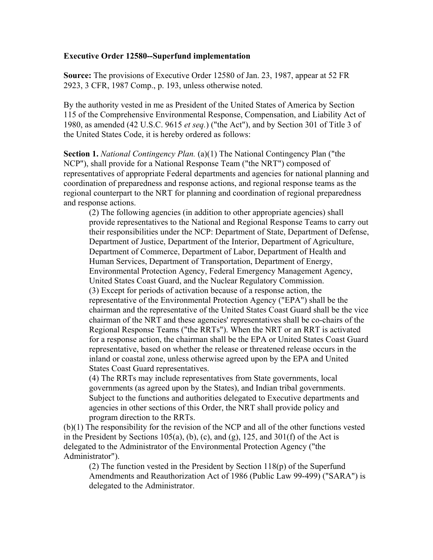## **Executive Order 12580--Superfund implementation**

**Source:** The provisions of Executive Order 12580 of Jan. 23, 1987, appear at 52 FR 2923, 3 CFR, 1987 Comp., p. 193, unless otherwise noted.

By the authority vested in me as President of the United States of America by Section 115 of the Comprehensive Environmental Response, Compensation, and Liability Act of 1980, as amended (42 U.S.C. 9615 *et seq.*) ("the Act"), and by Section 301 of Title 3 of the United States Code, it is hereby ordered as follows:

**Section 1.** *National Contingency Plan.* (a)(1) The National Contingency Plan ("the NCP"), shall provide for a National Response Team ("the NRT") composed of representatives of appropriate Federal departments and agencies for national planning and coordination of preparedness and response actions, and regional response teams as the regional counterpart to the NRT for planning and coordination of regional preparedness and response actions.

(2) The following agencies (in addition to other appropriate agencies) shall provide representatives to the National and Regional Response Teams to carry out their responsibilities under the NCP: Department of State, Department of Defense, Department of Justice, Department of the Interior, Department of Agriculture, Department of Commerce, Department of Labor, Department of Health and Human Services, Department of Transportation, Department of Energy, Environmental Protection Agency, Federal Emergency Management Agency, United States Coast Guard, and the Nuclear Regulatory Commission. (3) Except for periods of activation because of a response action, the representative of the Environmental Protection Agency ("EPA") shall be the chairman and the representative of the United States Coast Guard shall be the vice chairman of the NRT and these agencies' representatives shall be co-chairs of the Regional Response Teams ("the RRTs"). When the NRT or an RRT is activated for a response action, the chairman shall be the EPA or United States Coast Guard representative, based on whether the release or threatened release occurs in the inland or coastal zone, unless otherwise agreed upon by the EPA and United States Coast Guard representatives.

(4) The RRTs may include representatives from State governments, local governments (as agreed upon by the States), and Indian tribal governments. Subject to the functions and authorities delegated to Executive departments and agencies in other sections of this Order, the NRT shall provide policy and program direction to the RRTs.

(b)(1) The responsibility for the revision of the NCP and all of the other functions vested in the President by Sections  $105(a)$ , (b), (c), and (g), 125, and  $301(f)$  of the Act is delegated to the Administrator of the Environmental Protection Agency ("the Administrator").

(2) The function vested in the President by Section 118(p) of the Superfund Amendments and Reauthorization Act of 1986 (Public Law 99-499) ("SARA") is delegated to the Administrator.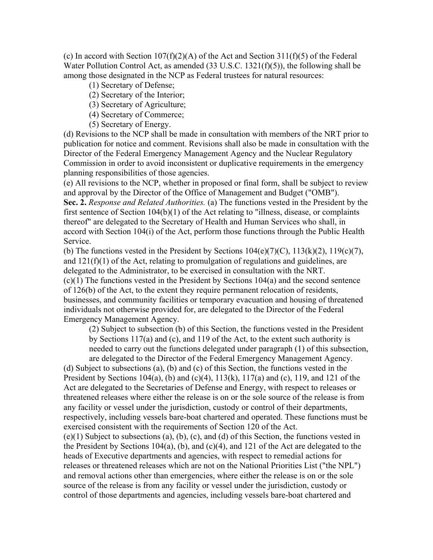(c) In accord with Section  $107(f)(2)(A)$  of the Act and Section 311(f)(5) of the Federal Water Pollution Control Act, as amended (33 U.S.C. 1321(f)(5)), the following shall be among those designated in the NCP as Federal trustees for natural resources:

- (1) Secretary of Defense;
- (2) Secretary of the Interior;
- (3) Secretary of Agriculture;
- (4) Secretary of Commerce;
- (5) Secretary of Energy.

(d) Revisions to the NCP shall be made in consultation with members of the NRT prior to publication for notice and comment. Revisions shall also be made in consultation with the Director of the Federal Emergency Management Agency and the Nuclear Regulatory Commission in order to avoid inconsistent or duplicative requirements in the emergency planning responsibilities of those agencies.

(e) All revisions to the NCP, whether in proposed or final form, shall be subject to review and approval by the Director of the Office of Management and Budget ("OMB").

**Sec. 2.** *Response and Related Authorities.* (a) The functions vested in the President by the first sentence of Section 104(b)(1) of the Act relating to "illness, disease, or complaints thereof" are delegated to the Secretary of Health and Human Services who shall, in accord with Section 104(i) of the Act, perform those functions through the Public Health Service.

(b) The functions vested in the President by Sections  $104(e)(7)(C)$ ,  $113(k)(2)$ ,  $119(e)(7)$ , and 121(f)(1) of the Act, relating to promulgation of regulations and guidelines, are delegated to the Administrator, to be exercised in consultation with the NRT. (c)(1) The functions vested in the President by Sections 104(a) and the second sentence of 126(b) of the Act, to the extent they require permanent relocation of residents, businesses, and community facilities or temporary evacuation and housing of threatened individuals not otherwise provided for, are delegated to the Director of the Federal Emergency Management Agency.

(2) Subject to subsection (b) of this Section, the functions vested in the President by Sections 117(a) and (c), and 119 of the Act, to the extent such authority is needed to carry out the functions delegated under paragraph (1) of this subsection, are delegated to the Director of the Federal Emergency Management Agency.

(d) Subject to subsections (a), (b) and (c) of this Section, the functions vested in the President by Sections 104(a), (b) and (c)(4),  $113(k)$ ,  $117(a)$  and (c), 119, and 121 of the Act are delegated to the Secretaries of Defense and Energy, with respect to releases or threatened releases where either the release is on or the sole source of the release is from any facility or vessel under the jurisdiction, custody or control of their departments, respectively, including vessels bare-boat chartered and operated. These functions must be exercised consistent with the requirements of Section 120 of the Act. (e)(1) Subject to subsections (a), (b), (c), and (d) of this Section, the functions vested in the President by Sections 104(a), (b), and (c)(4), and 121 of the Act are delegated to the heads of Executive departments and agencies, with respect to remedial actions for releases or threatened releases which are not on the National Priorities List ("the NPL") and removal actions other than emergencies, where either the release is on or the sole source of the release is from any facility or vessel under the jurisdiction, custody or control of those departments and agencies, including vessels bare-boat chartered and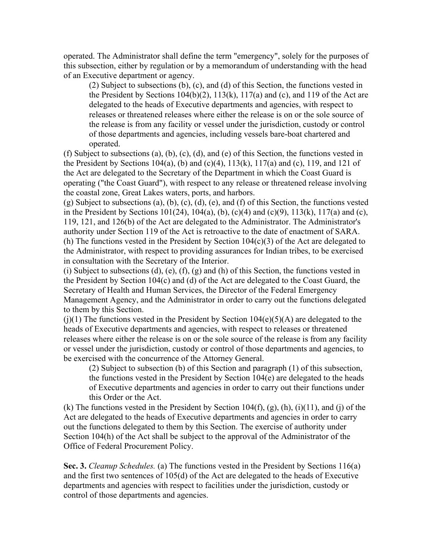operated. The Administrator shall define the term "emergency", solely for the purposes of this subsection, either by regulation or by a memorandum of understanding with the head of an Executive department or agency.

(2) Subject to subsections (b), (c), and (d) of this Section, the functions vested in the President by Sections  $104(b)(2)$ ,  $113(k)$ ,  $117(a)$  and (c), and 119 of the Act are delegated to the heads of Executive departments and agencies, with respect to releases or threatened releases where either the release is on or the sole source of the release is from any facility or vessel under the jurisdiction, custody or control of those departments and agencies, including vessels bare-boat chartered and operated.

(f) Subject to subsections (a), (b), (c), (d), and (e) of this Section, the functions vested in the President by Sections 104(a), (b) and (c)(4),  $113(k)$ ,  $117(a)$  and (c),  $119$ , and 121 of the Act are delegated to the Secretary of the Department in which the Coast Guard is operating ("the Coast Guard"), with respect to any release or threatened release involving the coastal zone, Great Lakes waters, ports, and harbors.

(g) Subject to subsections (a), (b), (c), (d), (e), and (f) of this Section, the functions vested in the President by Sections  $101(24)$ ,  $104(a)$ ,  $(b)$ ,  $(c)(4)$  and  $(c)(9)$ ,  $113(k)$ ,  $117(a)$  and  $(c)$ , 119, 121, and 126(b) of the Act are delegated to the Administrator. The Administrator's authority under Section 119 of the Act is retroactive to the date of enactment of SARA. (h) The functions vested in the President by Section  $104(c)(3)$  of the Act are delegated to the Administrator, with respect to providing assurances for Indian tribes, to be exercised in consultation with the Secretary of the Interior.

(i) Subject to subsections (d), (e), (f), (g) and (h) of this Section, the functions vested in the President by Section 104(c) and (d) of the Act are delegated to the Coast Guard, the Secretary of Health and Human Services, the Director of the Federal Emergency Management Agency, and the Administrator in order to carry out the functions delegated to them by this Section.

 $(i)(1)$  The functions vested in the President by Section 104(e)(5)(A) are delegated to the heads of Executive departments and agencies, with respect to releases or threatened releases where either the release is on or the sole source of the release is from any facility or vessel under the jurisdiction, custody or control of those departments and agencies, to be exercised with the concurrence of the Attorney General.

(2) Subject to subsection (b) of this Section and paragraph (1) of this subsection, the functions vested in the President by Section 104(e) are delegated to the heads of Executive departments and agencies in order to carry out their functions under this Order or the Act.

(k) The functions vested in the President by Section  $104(f)$ ,  $(g)$ ,  $(h)$ ,  $(i)(11)$ , and  $(i)$  of the Act are delegated to the heads of Executive departments and agencies in order to carry out the functions delegated to them by this Section. The exercise of authority under Section 104(h) of the Act shall be subject to the approval of the Administrator of the Office of Federal Procurement Policy.

**Sec. 3.** *Cleanup Schedules.* (a) The functions vested in the President by Sections 116(a) and the first two sentences of 105(d) of the Act are delegated to the heads of Executive departments and agencies with respect to facilities under the jurisdiction, custody or control of those departments and agencies.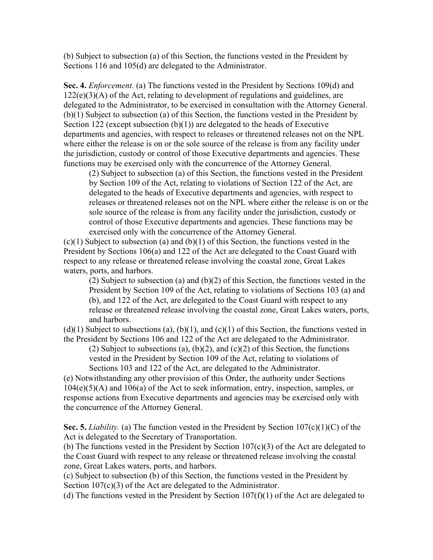(b) Subject to subsection (a) of this Section, the functions vested in the President by Sections 116 and 105(d) are delegated to the Administrator.

**Sec. 4.** *Enforcement.* (a) The functions vested in the President by Sections 109(d) and  $122(e)(3)(A)$  of the Act, relating to development of regulations and guidelines, are delegated to the Administrator, to be exercised in consultation with the Attorney General. (b)(1) Subject to subsection (a) of this Section, the functions vested in the President by Section 122 (except subsection  $(b)(1)$ ) are delegated to the heads of Executive departments and agencies, with respect to releases or threatened releases not on the NPL where either the release is on or the sole source of the release is from any facility under the jurisdiction, custody or control of those Executive departments and agencies. These functions may be exercised only with the concurrence of the Attorney General.

(2) Subject to subsection (a) of this Section, the functions vested in the President by Section 109 of the Act, relating to violations of Section 122 of the Act, are delegated to the heads of Executive departments and agencies, with respect to releases or threatened releases not on the NPL where either the release is on or the sole source of the release is from any facility under the jurisdiction, custody or control of those Executive departments and agencies. These functions may be exercised only with the concurrence of the Attorney General.

 $(c)(1)$  Subject to subsection (a) and  $(b)(1)$  of this Section, the functions vested in the President by Sections 106(a) and 122 of the Act are delegated to the Coast Guard with respect to any release or threatened release involving the coastal zone, Great Lakes waters, ports, and harbors.

(2) Subject to subsection (a) and (b)(2) of this Section, the functions vested in the President by Section 109 of the Act, relating to violations of Sections 103 (a) and (b), and 122 of the Act, are delegated to the Coast Guard with respect to any release or threatened release involving the coastal zone, Great Lakes waters, ports, and harbors.

 $(d)(1)$  Subject to subsections (a),  $(b)(1)$ , and  $(c)(1)$  of this Section, the functions vested in the President by Sections 106 and 122 of the Act are delegated to the Administrator.

(2) Subject to subsections (a),  $(b)(2)$ , and  $(c)(2)$  of this Section, the functions vested in the President by Section 109 of the Act, relating to violations of Sections 103 and 122 of the Act, are delegated to the Administrator.

(e) Notwithstanding any other provision of this Order, the authority under Sections 104(e)(5)(A) and 106(a) of the Act to seek information, entry, inspection, samples, or response actions from Executive departments and agencies may be exercised only with the concurrence of the Attorney General.

**Sec. 5.** *Liability.* (a) The function vested in the President by Section 107(c)(1)(C) of the Act is delegated to the Secretary of Transportation.

(b) The functions vested in the President by Section  $107(c)(3)$  of the Act are delegated to the Coast Guard with respect to any release or threatened release involving the coastal zone, Great Lakes waters, ports, and harbors.

(c) Subject to subsection (b) of this Section, the functions vested in the President by Section 107(c)(3) of the Act are delegated to the Administrator.

(d) The functions vested in the President by Section  $107(f)(1)$  of the Act are delegated to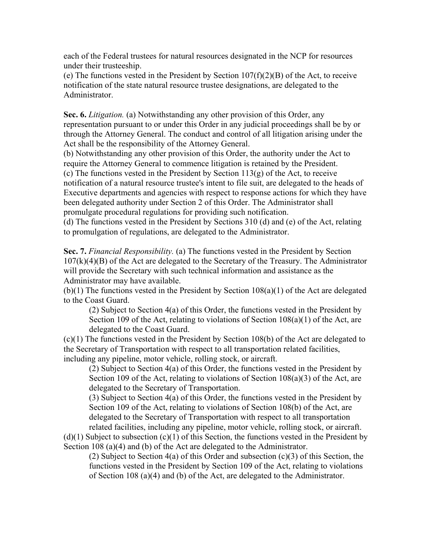each of the Federal trustees for natural resources designated in the NCP for resources under their trusteeship.

(e) The functions vested in the President by Section  $107(f)(2)(B)$  of the Act, to receive notification of the state natural resource trustee designations, are delegated to the Administrator.

**Sec. 6.** *Litigation.* (a) Notwithstanding any other provision of this Order, any representation pursuant to or under this Order in any judicial proceedings shall be by or through the Attorney General. The conduct and control of all litigation arising under the Act shall be the responsibility of the Attorney General.

(b) Notwithstanding any other provision of this Order, the authority under the Act to require the Attorney General to commence litigation is retained by the President. (c) The functions vested in the President by Section  $113(g)$  of the Act, to receive notification of a natural resource trustee's intent to file suit, are delegated to the heads of Executive departments and agencies with respect to response actions for which they have been delegated authority under Section 2 of this Order. The Administrator shall

promulgate procedural regulations for providing such notification.

(d) The functions vested in the President by Sections 310 (d) and (e) of the Act, relating to promulgation of regulations, are delegated to the Administrator.

**Sec. 7.** *Financial Responsibility.* (a) The functions vested in the President by Section  $107(k)(4)(B)$  of the Act are delegated to the Secretary of the Treasury. The Administrator will provide the Secretary with such technical information and assistance as the Administrator may have available.

(b)(1) The functions vested in the President by Section 108(a)(1) of the Act are delegated to the Coast Guard.

(2) Subject to Section 4(a) of this Order, the functions vested in the President by Section 109 of the Act, relating to violations of Section 108(a)(1) of the Act, are delegated to the Coast Guard.

(c)(1) The functions vested in the President by Section 108(b) of the Act are delegated to the Secretary of Transportation with respect to all transportation related facilities, including any pipeline, motor vehicle, rolling stock, or aircraft.

(2) Subject to Section 4(a) of this Order, the functions vested in the President by Section 109 of the Act, relating to violations of Section 108(a)(3) of the Act, are delegated to the Secretary of Transportation.

(3) Subject to Section 4(a) of this Order, the functions vested in the President by Section 109 of the Act, relating to violations of Section 108(b) of the Act, are delegated to the Secretary of Transportation with respect to all transportation related facilities, including any pipeline, motor vehicle, rolling stock, or aircraft.

 $(d)(1)$  Subject to subsection  $(c)(1)$  of this Section, the functions vested in the President by Section 108 (a)(4) and (b) of the Act are delegated to the Administrator.

(2) Subject to Section 4(a) of this Order and subsection (c)(3) of this Section, the functions vested in the President by Section 109 of the Act, relating to violations of Section 108 (a)(4) and (b) of the Act, are delegated to the Administrator.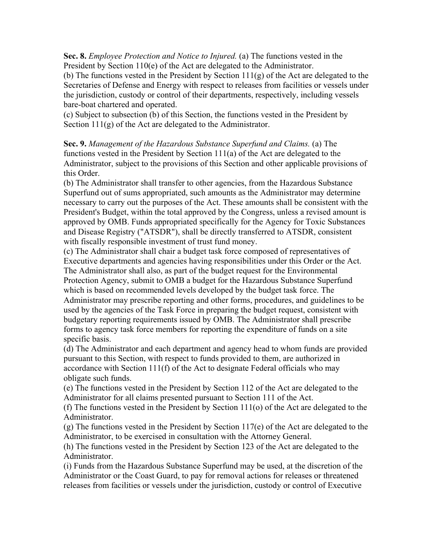**Sec. 8.** *Employee Protection and Notice to Injured.* (a) The functions vested in the President by Section 110(e) of the Act are delegated to the Administrator.

(b) The functions vested in the President by Section 111(g) of the Act are delegated to the Secretaries of Defense and Energy with respect to releases from facilities or vessels under the jurisdiction, custody or control of their departments, respectively, including vessels bare-boat chartered and operated.

(c) Subject to subsection (b) of this Section, the functions vested in the President by Section 111(g) of the Act are delegated to the Administrator.

**Sec. 9.** *Management of the Hazardous Substance Superfund and Claims.* (a) The functions vested in the President by Section 111(a) of the Act are delegated to the Administrator, subject to the provisions of this Section and other applicable provisions of this Order.

(b) The Administrator shall transfer to other agencies, from the Hazardous Substance Superfund out of sums appropriated, such amounts as the Administrator may determine necessary to carry out the purposes of the Act. These amounts shall be consistent with the President's Budget, within the total approved by the Congress, unless a revised amount is approved by OMB. Funds appropriated specifically for the Agency for Toxic Substances and Disease Registry ("ATSDR"), shall be directly transferred to ATSDR, consistent with fiscally responsible investment of trust fund money.

(c) The Administrator shall chair a budget task force composed of representatives of Executive departments and agencies having responsibilities under this Order or the Act. The Administrator shall also, as part of the budget request for the Environmental Protection Agency, submit to OMB a budget for the Hazardous Substance Superfund which is based on recommended levels developed by the budget task force. The Administrator may prescribe reporting and other forms, procedures, and guidelines to be used by the agencies of the Task Force in preparing the budget request, consistent with budgetary reporting requirements issued by OMB. The Administrator shall prescribe forms to agency task force members for reporting the expenditure of funds on a site specific basis.

(d) The Administrator and each department and agency head to whom funds are provided pursuant to this Section, with respect to funds provided to them, are authorized in accordance with Section 111(f) of the Act to designate Federal officials who may obligate such funds.

(e) The functions vested in the President by Section 112 of the Act are delegated to the Administrator for all claims presented pursuant to Section 111 of the Act.

(f) The functions vested in the President by Section 111(o) of the Act are delegated to the Administrator.

(g) The functions vested in the President by Section 117(e) of the Act are delegated to the Administrator, to be exercised in consultation with the Attorney General.

(h) The functions vested in the President by Section 123 of the Act are delegated to the Administrator.

(i) Funds from the Hazardous Substance Superfund may be used, at the discretion of the Administrator or the Coast Guard, to pay for removal actions for releases or threatened releases from facilities or vessels under the jurisdiction, custody or control of Executive